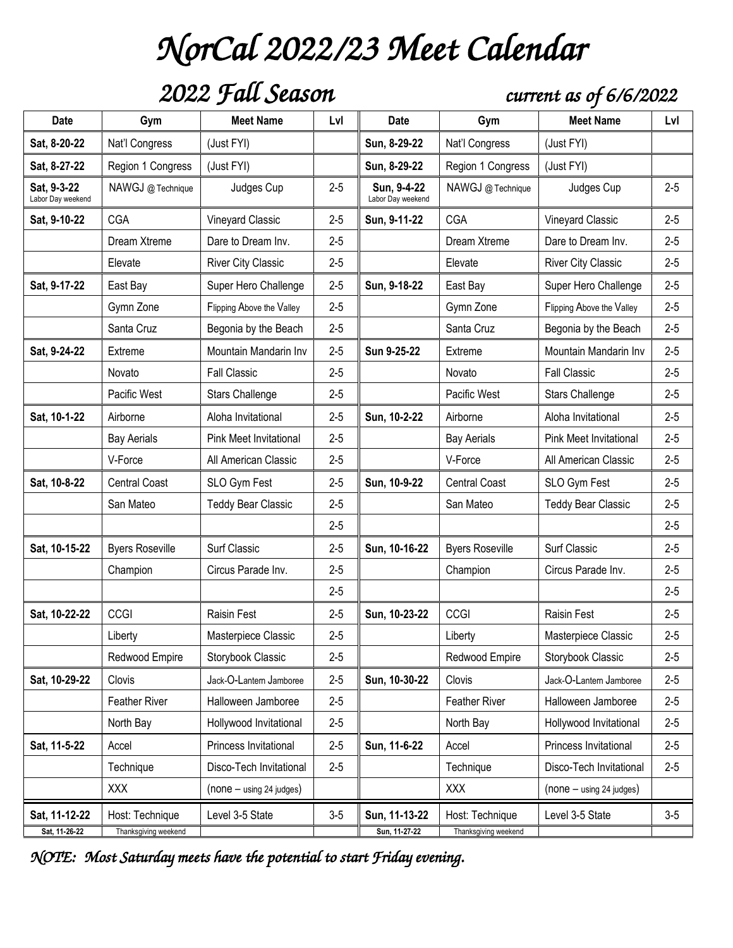# *NorCal 2022/23 Meet Calendar*

### *2022 Fall Season current as of 6/6/2022*

| <b>Date</b>                      | Gym                    | <b>Meet Name</b>          | Lvl     | <b>Date</b>                      | Gym                    | <b>Meet Name</b>              | Lvl     |
|----------------------------------|------------------------|---------------------------|---------|----------------------------------|------------------------|-------------------------------|---------|
| Sat, 8-20-22                     | Nat'l Congress         | (Just FYI)                |         | Sun, 8-29-22                     | Nat'l Congress         | (Just FYI)                    |         |
| Sat, 8-27-22                     | Region 1 Congress      | (Just FYI)                |         | Sun, 8-29-22                     | Region 1 Congress      | (Just FYI)                    |         |
| Sat. 9-3-22<br>Labor Day weekend | NAWGJ @ Technique      | Judges Cup                | $2 - 5$ | Sun, 9-4-22<br>Labor Day weekend | NAWGJ @ Technique      | Judges Cup                    | $2 - 5$ |
| Sat, 9-10-22                     | <b>CGA</b>             | Vineyard Classic          | $2 - 5$ | Sun, 9-11-22                     | <b>CGA</b>             | Vineyard Classic              | $2 - 5$ |
|                                  | Dream Xtreme           | Dare to Dream Inv.        | $2 - 5$ |                                  | Dream Xtreme           | Dare to Dream Inv.            | $2 - 5$ |
|                                  | Elevate                | <b>River City Classic</b> | $2 - 5$ |                                  | Elevate                | <b>River City Classic</b>     | $2 - 5$ |
| Sat, 9-17-22                     | East Bay               | Super Hero Challenge      | $2 - 5$ | Sun, 9-18-22                     | East Bay               | Super Hero Challenge          | $2 - 5$ |
|                                  | Gymn Zone              | Flipping Above the Valley | $2 - 5$ |                                  | Gymn Zone              | Flipping Above the Valley     | $2 - 5$ |
|                                  | Santa Cruz             | Begonia by the Beach      | $2 - 5$ |                                  | Santa Cruz             | Begonia by the Beach          | $2 - 5$ |
| Sat, 9-24-22                     | Extreme                | Mountain Mandarin Inv     | $2 - 5$ | Sun 9-25-22                      | Extreme                | Mountain Mandarin Inv         | $2 - 5$ |
|                                  | Novato                 | <b>Fall Classic</b>       | $2 - 5$ |                                  | Novato                 | <b>Fall Classic</b>           | $2 - 5$ |
|                                  | Pacific West           | <b>Stars Challenge</b>    | $2 - 5$ |                                  | Pacific West           | <b>Stars Challenge</b>        | $2 - 5$ |
| Sat, 10-1-22                     | Airborne               | Aloha Invitational        | $2 - 5$ | Sun, 10-2-22                     | Airborne               | Aloha Invitational            | $2 - 5$ |
|                                  | <b>Bay Aerials</b>     | Pink Meet Invitational    | $2 - 5$ |                                  | <b>Bay Aerials</b>     | <b>Pink Meet Invitational</b> | $2 - 5$ |
|                                  | V-Force                | All American Classic      | $2 - 5$ |                                  | V-Force                | All American Classic          | $2 - 5$ |
| Sat, 10-8-22                     | <b>Central Coast</b>   | SLO Gym Fest              | $2 - 5$ | Sun, 10-9-22                     | <b>Central Coast</b>   | SLO Gym Fest                  | $2 - 5$ |
|                                  | San Mateo              | <b>Teddy Bear Classic</b> | $2 - 5$ |                                  | San Mateo              | <b>Teddy Bear Classic</b>     | $2 - 5$ |
|                                  |                        |                           | $2 - 5$ |                                  |                        |                               | $2 - 5$ |
| Sat, 10-15-22                    | <b>Byers Roseville</b> | Surf Classic              | $2 - 5$ | Sun, 10-16-22                    | <b>Byers Roseville</b> | Surf Classic                  | $2 - 5$ |
|                                  | Champion               | Circus Parade Inv.        | $2 - 5$ |                                  | Champion               | Circus Parade Inv.            | $2 - 5$ |
|                                  |                        |                           | $2 - 5$ |                                  |                        |                               | $2 - 5$ |
| Sat, 10-22-22                    | CCGI                   | Raisin Fest               | $2 - 5$ | Sun, 10-23-22                    | CCGI                   | <b>Raisin Fest</b>            | $2 - 5$ |
|                                  | Liberty                | Masterpiece Classic       | $2 - 5$ |                                  | Liberty                | Masterpiece Classic           | $2 - 5$ |
|                                  | Redwood Empire         | Storybook Classic         | $2 - 5$ |                                  | Redwood Empire         | Storybook Classic             | $2 - 5$ |
| Sat, 10-29-22                    | Clovis                 | Jack-O-Lantern Jamboree   | $2 - 5$ | Sun, 10-30-22                    | Clovis                 | Jack-O-Lantern Jamboree       | $2 - 5$ |
|                                  | Feather River          | Halloween Jamboree        | $2 - 5$ |                                  | Feather River          | Halloween Jamboree            | $2 - 5$ |
|                                  | North Bay              | Hollywood Invitational    | $2 - 5$ |                                  | North Bay              | Hollywood Invitational        | $2 - 5$ |
| Sat, 11-5-22                     | Accel                  | Princess Invitational     | $2 - 5$ | Sun, 11-6-22                     | Accel                  | Princess Invitational         | $2 - 5$ |
|                                  | Technique              | Disco-Tech Invitational   | $2 - 5$ |                                  | Technique              | Disco-Tech Invitational       | $2 - 5$ |
|                                  | <b>XXX</b>             | (none - using 24 judges)  |         |                                  | <b>XXX</b>             | (none - using 24 judges)      |         |
| Sat, 11-12-22                    | Host: Technique        | Level 3-5 State           | $3-5$   | Sun, 11-13-22                    | Host: Technique        | Level 3-5 State               | $3-5$   |
| Sat, 11-26-22                    | Thanksgiving weekend   |                           |         | Sun, 11-27-22                    | Thanksgiving weekend   |                               |         |

*NOTE: Most Saturday meets have the potential to start Friday evening.*